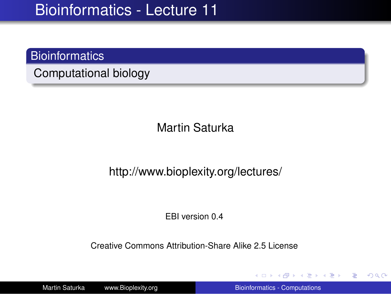### **Bioinformatics**

Computational biology

Martin Saturka

http://www.bioplexity.org/lectures/

EBI version 0.4

Creative Commons Attribution-Share Alike 2.5 License

Martin Saturka www.Bioplexity.org Bionformatics - Computations

イロト イ団ト イヨト イヨト

<span id="page-0-0"></span>÷.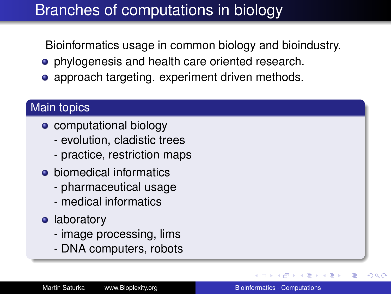## Branches of computations in biology

Bioinformatics usage in common biology and bioindustry.

- phylogenesis and health care oriented research.
- approach targeting. experiment driven methods.

### Main topics

- computational biology
	- evolution, cladistic trees
	- practice, restriction maps
- **•** biomedical informatics
	- pharmaceutical usage
	- medical informatics
- **•** laboratory
	- image processing, lims
	- DNA computers, robots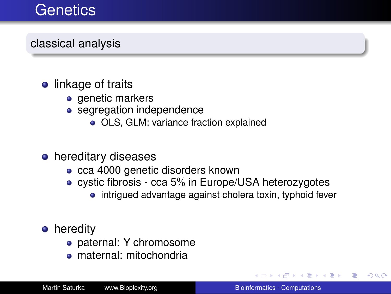## **Genetics**

classical analysis

### • linkage of traits

- genetic markers
- segregation independence
	- OLS, GLM: variance fraction explained

### **•** hereditary diseases

- cca 4000 genetic disorders known
- cystic fibrosis cca 5% in Europe/USA heterozygotes
	- intrigued advantage against cholera toxin, typhoid fever

### **•** heredity

- paternal: Y chromosome
- maternal: mitochondria

4 重っ

ă.  $QQ$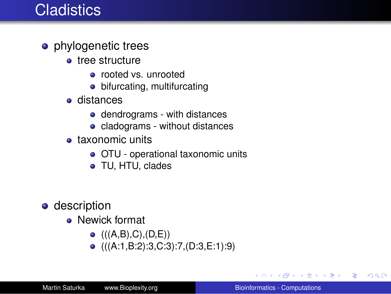## **Cladistics**

- phylogenetic trees
	- **o** tree structure
		- rooted vs. unrooted
		- bifurcating, multifurcating
	- distances
		- dendrograms with distances
		- cladograms without distances
	- **o** taxonomic units
		- OTU operational taxonomic units
		- TU, HTU, clades
- **o** description
	- **•** Newick format
		- $\bullet$  (((A,B),C),(D,E))
		- $\bullet$  (((A:1,B:2):3,C:3):7,(D:3,E:1):9)

K 何 ▶ K ヨ ▶ K ヨ ▶

÷.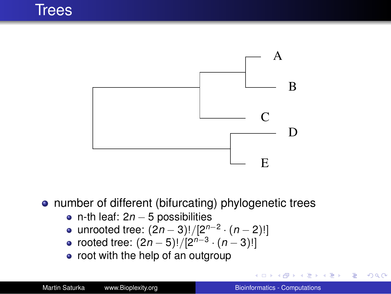

**•** number of different (bifurcating) phylogenetic trees

- n-th leaf: 2*n* − 5 possibilities
- unrooted tree: (2*n* − 3)!/[2 *n*−2 · (*n* − 2)!]
- rooted tree: (2*n* − 5)!/[2 *n*−3 · (*n* − 3)!]
- root with the help of an outgroup

B

ヨメ メヨメ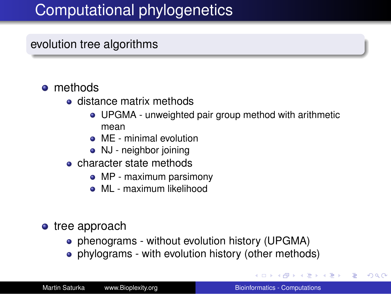# Computational phylogenetics

#### evolution tree algorithms

#### **o** methods

- **e** distance matrix methods
	- UPGMA unweighted pair group method with arithmetic mean
	- **•** MF minimal evolution
	- NJ neighbor joining
- **o** character state methods
	- MP maximum parsimony
	- **ML** maximum likelihood
- tree approach
	- phenograms without evolution history (UPGMA)
	- phylograms with evolution history (other methods)

<span id="page-5-0"></span>←ロト ←何 ト ← ヨ ト ← ヨ ト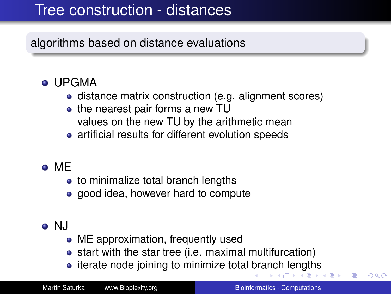## Tree construction - distances

algorithms based on distance evaluations

- UPGMA
	- distance matrix construction (e.g. alignment scores)
	- the nearest pair forms a new TU values on the new TU by the arithmetic mean
	- artificial results for different evolution speeds
- ME
	- to minimalize total branch lengths
	- good idea, however hard to compute
- <span id="page-6-0"></span>o NJ
	- ME approximation, frequently used
	- start with the star tree (i.e. maximal multifurcation)
	- iterate node joining to minimize total [br](#page-5-0)a[n](#page-7-0)[c](#page-5-0)[h l](#page-6-0)[e](#page-7-0)[ngt](#page-0-0)[hs](#page-31-0)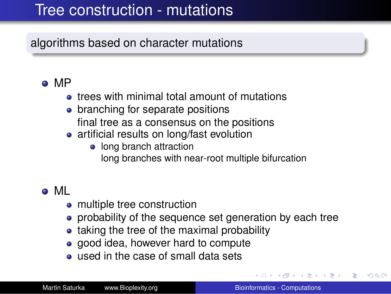## Tree construction - mutations

### algorithms based on character mutations

### MP

- **•** trees with minimal total amount of mutations
- branching for separate positions final tree as a consensus on the positions
- artificial results on long/fast evolution
	- long branch attraction long branches with near-root multiple bifurcation

## ML

- multiple tree construction
- probability of the sequence set generation by each tree
- taking the tree of the maximal probability
- good idea, however hard to compute
- **.** used in the case of small data sets

→ 重→

<span id="page-7-0"></span>ă.  $QQ$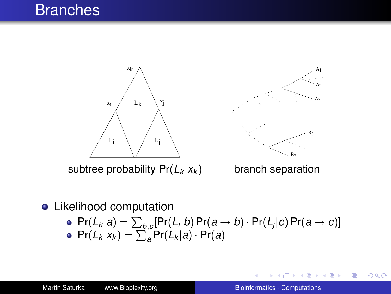## **Branches**



**•** Likelihood computation

\n- Pr(
$$
L_k | a
$$
) =  $\sum_{b,c}$ [Pr( $L_i | b$ ) Pr( $a \rightarrow b$ ) · Pr( $L_j | c$ ) Pr( $a \rightarrow c$ )]
\n- Pr( $L_k | x_k$ ) =  $\sum_a$  Pr( $L_k | a$ ) · Pr( $a$ )
\n

4日)

 $\mathbf{y} \rightarrow \mathbf{z}$ 

÷.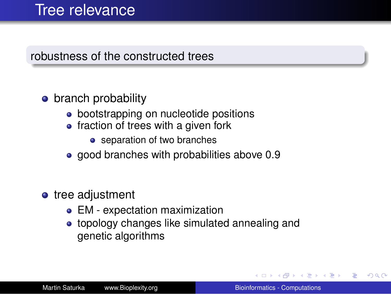## Tree relevance

### robustness of the constructed trees

## **•** branch probability

- bootstrapping on nucleotide positions
- $\bullet$  fraction of trees with a given fork
	- separation of two branches
- good branches with probabilities above 0.9
- tree adjustment
	- EM expectation maximization
	- **•** topology changes like simulated annealing and genetic algorithms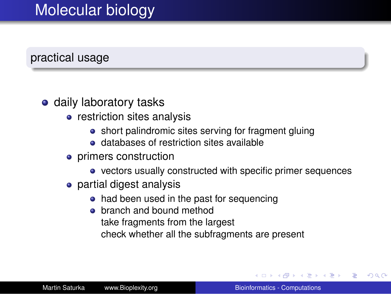# Molecular biology

#### practical usage

#### **o** daily laboratory tasks

- restriction sites analysis
	- short palindromic sites serving for fragment gluing
	- **e** databases of restriction sites available
- primers construction
	- vectors usually constructed with specific primer sequences
- partial digest analysis
	- had been used in the past for sequencing
	- **o** branch and bound method take fragments from the largest check whether all the subfragments are present

 $\langle \oplus \rangle$  >  $\langle \oplus \rangle$  >  $\langle \oplus \rangle$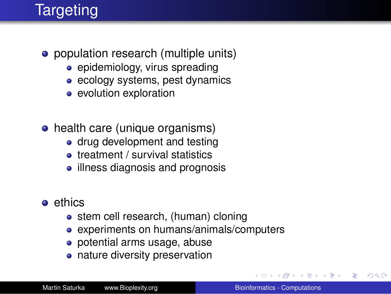# **Targeting**

- population research (multiple units)
	- $\bullet$  epidemiology, virus spreading
	- ecology systems, pest dynamics
	- evolution exploration
- health care (unique organisms)
	- drug development and testing
	- treatment / survival statistics
	- illness diagnosis and prognosis
- **e** ethics
	- stem cell research, (human) cloning
	- experiments on humans/animals/computers
	- potential arms usage, abuse
	- nature diversity preservation

 $2990$ 

ă.

 $\rightarrow$  3  $\pm$  3  $\rightarrow$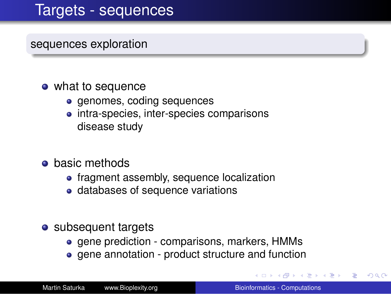## Targets - sequences

sequences exploration

#### • what to sequence

- genomes, coding sequences
- intra-species, inter-species comparisons disease study
- **o** basic methods
	- fragment assembly, sequence localization
	- databases of sequence variations
- subsequent targets
	- gene prediction comparisons, markers, HMMs
	- gene annotation product structure and function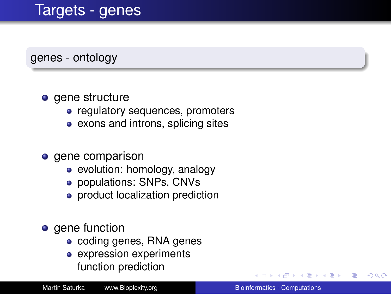## Targets - genes

genes - ontology

#### • gene structure

- regulatory sequences, promoters
- exons and introns, splicing sites

#### • gene comparison

- evolution: homology, analogy
- populations: SNPs, CNVs
- product localization prediction
- gene function
	- coding genes, RNA genes
	- expression experiments function prediction

ă.  $QQ$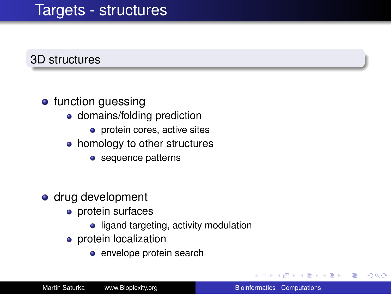## Targets - structures

#### 3D structures

#### **•** function guessing

- domains/folding prediction
	- **o** protein cores, active sites
- homology to other structures
	- sequence patterns
- drug development
	- protein surfaces
		- ligand targeting, activity modulation
	- **•** protein localization
		- **e** envelope protein search

ぼう メモト

B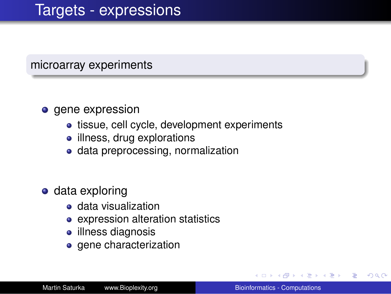#### microarray experiments

#### **o** gene expression

- tissue, cell cycle, development experiments
- illness, drug explorations
- data preprocessing, normalization
- data exploring
	- data visualization
	- expression alteration statistics
	- illness diagnosis
	- gene characterization

→ 重き 4重き

 $299$ 

B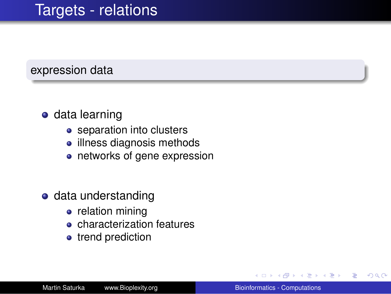## Targets - relations

#### expression data

### **o** data learning

- separation into clusters
- illness diagnosis methods
- networks of gene expression
- **o** data understanding
	- relation mining
	- **e** characterization features
	- trend prediction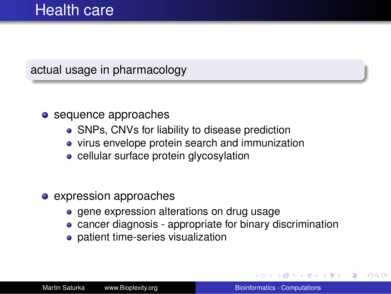### actual usage in pharmacology

#### • sequence approaches

- SNPs, CNVs for liability to disease prediction
- virus envelope protein search and immunization
- cellular surface protein glycosylation
- expression approaches
	- gene expression alterations on drug usage
	- cancer diagnosis appropriate for binary discrimination
	- patient time-series visualization

 $\langle \oplus \rangle$  >  $\langle \oplus \rangle$  >  $\langle \oplus \rangle$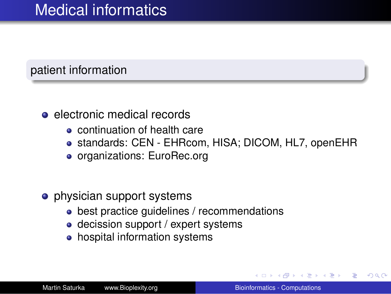### patient information

- electronic medical records
	- continuation of health care
	- standards: CEN EHRcom, HISA; DICOM, HL7, openEHR
	- organizations: EuroRec.org

#### **•** physician support systems

- best practice guidelines / recommendations
- decission support / expert systems
- hospital information systems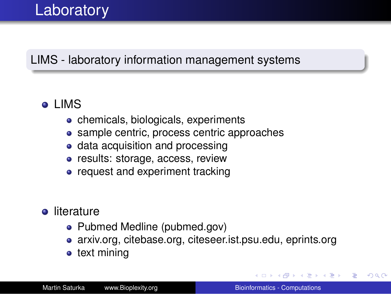## LIMS - laboratory information management systems

## LIMS

- chemicals, biologicals, experiments
- sample centric, process centric approaches
- data acquisition and processing
- results: storage, access, review
- request and experiment tracking

### **o** literature

- Pubmed Medline (pubmed.gov)
- arxiv.org, citebase.org, citeseer.ist.psu.edu, eprints.org
- text mining

K 何 ▶ K ヨ ▶ K ヨ ▶ ..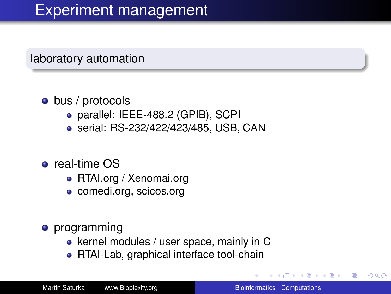#### laboratory automation

#### • bus / protocols

- parallel: IEEE-488.2 (GPIB), SCPI
- serial: RS-232/422/423/485, USB, CAN
- **o** real-time OS
	- RTAI.org / Xenomai.org
	- comedi.org, scicos.org
- programming
	- kernel modules / user space, mainly in C
	- RTAI-Lab, graphical interface tool-chain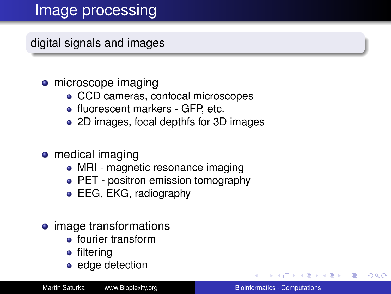digital signals and images

### • microscope imaging

- CCD cameras, confocal microscopes
- fluorescent markers GFP, etc.
- 2D images, focal depthfs for 3D images
- medical imaging
	- MRI magnetic resonance imaging
	- PET positron emission tomography
	- **EEG, EKG, radiography**
- image transformations
	- **•** fourier transform
	- filtering
	- edge detection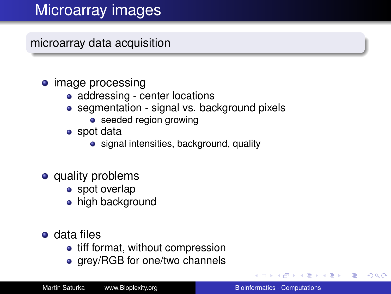# Microarray images

microarray data acquisition

### • image processing

- addressing center locations
- segmentation signal vs. background pixels
	- seeded region growing
- spot data
	- signal intensities, background, quality
- quality problems
	- spot overlap
	- high background
- data files
	- tiff format, without compression
	- grey/RGB for one/two channels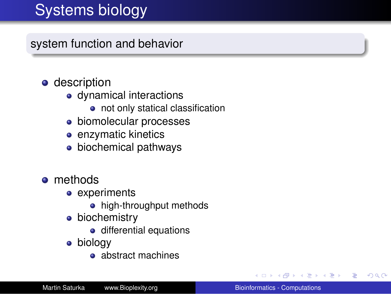# Systems biology

system function and behavior

- description
	- dynamical interactions
		- not only statical classification
	- biomolecular processes
	- **e** enzymatic kinetics
	- biochemical pathways
- **o** methods
	- experiments
		- high-throughput methods
	- **·** biochemistry
		- o differential equations
	- biology
		- abstract machines

K 何 ▶ K ヨ ▶ K ヨ ▶ ..

B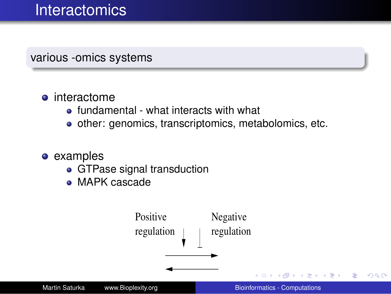## **Interactomics**

various -omics systems

#### **o** interactome

- fundamental what interacts with what
- other: genomics, transcriptomics, metabolomics, etc.
- **examples** 
	- GTPase signal transduction
	- MAPK cascade

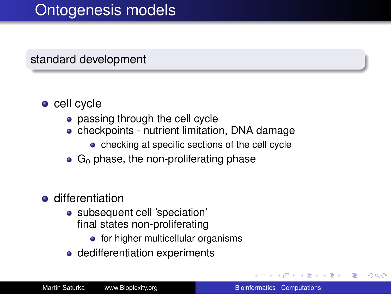## Ontogenesis models

### standard development

- cell cycle
	- passing through the cell cycle
	- checkpoints nutrient limitation, DNA damage
		- checking at specific sections of the cell cycle
	- $\bullet$  G<sub>0</sub> phase, the non-proliferating phase
- **o** differentiation
	- subsequent cell 'speciation' final states non-proliferating
		- $\bullet$  for higher multicellular organisms
	- dedifferentiation experiments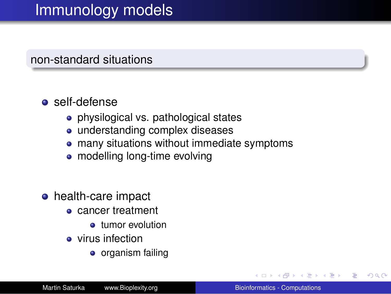## Immunology models

#### non-standard situations

### self-defense

- physilogical vs. pathological states
- understanding complex diseases
- many situations without immediate symptoms
- modelling long-time evolving
- **•** health-care impact
	- cancer treatment
		- **•** tumor evolution
	- **•** virus infection
		- organism failing

 $\rightarrow$  3  $\pm$  3  $\rightarrow$ 

ă.  $QQ$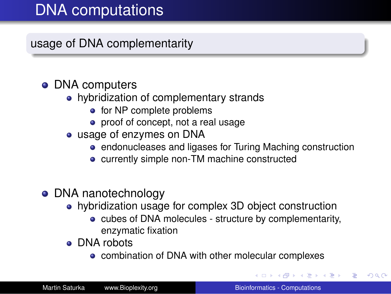# DNA computations

usage of DNA complementarity

### • DNA computers

- hybridization of complementary strands
	- for NP complete problems
	- proof of concept, not a real usage
- usage of enzymes on DNA
	- endonucleases and ligases for Turing Maching construction
	- currently simple non-TM machine constructed
- DNA nanotechnology
	- hybridization usage for complex 3D object construction
		- cubes of DNA molecules structure by complementarity, enzymatic fixation
	- **o** DNA robots
		- combination of DNA with other molecular complexes

 $\left\{ \begin{array}{ccc} 1 & 0 & 0 \\ 0 & 1 & 0 \end{array} \right.$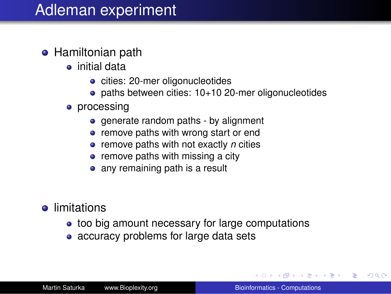## Adleman experiment

- **Hamiltonian path** 
	- initial data
		- cities: 20-mer oligonucleotides
		- paths between cities: 10+10 20-mer oligonucleotides
	- processing
		- generate random paths by alignment
		- remove paths with wrong start or end
		- remove paths with not exactly *n* cities
		- remove paths with missing a city
		- any remaining path is a result
- **•** limitations
	- too big amount necessary for large computations
	- accuracy problems for large data sets

 $\langle \oplus \rangle$  >  $\langle \oplus \rangle$  >  $\langle \oplus \rangle$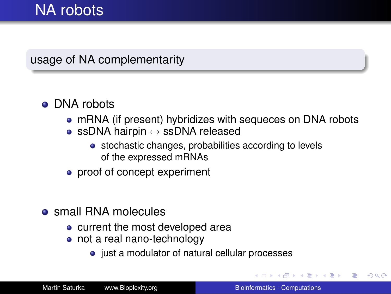## NA robots

#### usage of NA complementarity

### • DNA robots

- mRNA (if present) hybridizes with sequeces on DNA robots
- ssDNA hairpin  $\leftrightarrow$  ssDNA released
	- stochastic changes, probabilities according to levels of the expressed mRNAs
- proof of concept experiment
- **o** small RNA molecules
	- current the most developed area
	- not a real nano-technology
		- just a modulator of natural cellular processes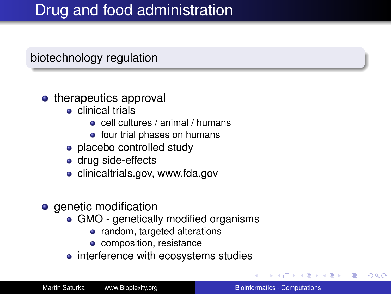## Drug and food administration

### biotechnology regulation

#### • therapeutics approval

- **e** clinical trials
	- cell cultures / animal / humans
	- four trial phases on humans
- placebo controlled study
- drug side-effects
- clinicaltrials.gov, www.fda.gov
- **o** genetic modification
	- GMO genetically modified organisms
		- random, targeted alterations
		- composition, resistance
	- interference with ecosystems studies

4 重っ

ă.  $QQ$